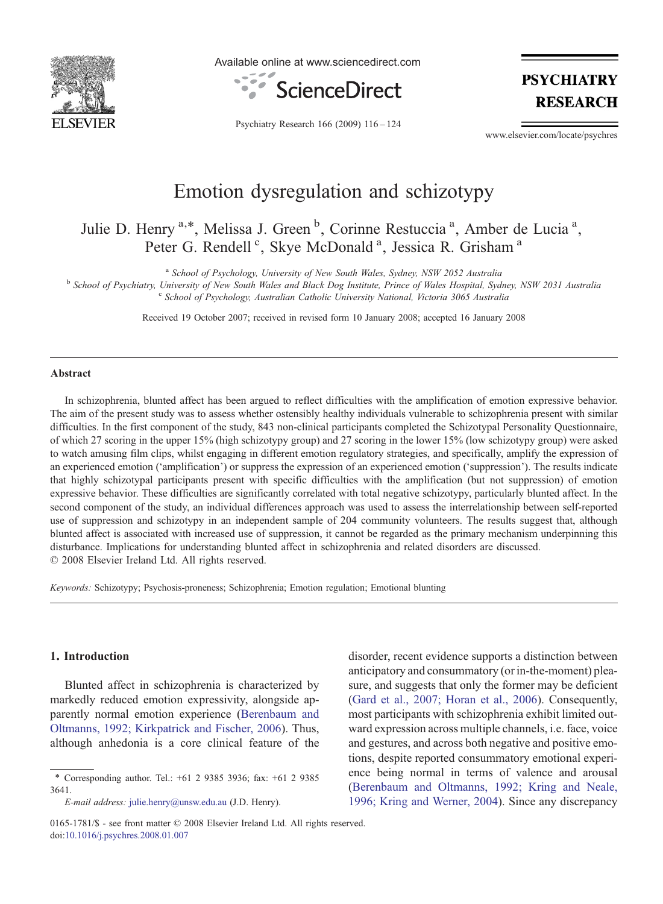

Available online at www.sciencedirect.com



**PSYCHIATRY RESEARCH** 

Psychiatry Research 166 (2009) 116–124

www.elsevier.com/locate/psychres

## Emotion dysregulation and schizotypy

Julie D. Henry <sup>a,\*</sup>, Melissa J. Green<sup>b</sup>, Corinne Restuccia<sup>a</sup>, Amber de Lucia<sup>a</sup>, Peter G. Rendell<sup>c</sup>, Skye McDonald<sup>a</sup>, Jessica R. Grisham<sup>a</sup>

<sup>a</sup> School of Psychology, University of New South Wales, Sydney, NSW 2052 Australia<br><sup>b</sup> School of Psychiatry, University of New South Wales and Black Dog Institute, Prince of Wales Hospital, Sydney, NSW 2031 Australia <sup>c</sup> School of Psychology, Australian Catholic University National, Victoria 3065 Australia

Received 19 October 2007; received in revised form 10 January 2008; accepted 16 January 2008

## **Abstract**

In schizophrenia, blunted affect has been argued to reflect difficulties with the amplification of emotion expressive behavior. The aim of the present study was to assess whether ostensibly healthy individuals vulnerable to schizophrenia present with similar difficulties. In the first component of the study, 843 non-clinical participants completed the Schizotypal Personality Questionnaire, of which 27 scoring in the upper 15% (high schizotypy group) and 27 scoring in the lower 15% (low schizotypy group) were asked to watch amusing film clips, whilst engaging in different emotion regulatory strategies, and specifically, amplify the expression of an experienced emotion ('amplification') or suppress the expression of an experienced emotion ('suppression'). The results indicate that highly schizotypal participants present with specific difficulties with the amplification (but not suppression) of emotion expressive behavior. These difficulties are significantly correlated with total negative schizotypy, particularly blunted affect. In the second component of the study, an individual differences approach was used to assess the interrelationship between self-reported use of suppression and schizotypy in an independent sample of 204 community volunteers. The results suggest that, although blunted affect is associated with increased use of suppression, it cannot be regarded as the primary mechanism underpinning this disturbance. Implications for understanding blunted affect in schizophrenia and related disorders are discussed. © 2008 Elsevier Ireland Ltd. All rights reserved.

Keywords: Schizotypy; Psychosis-proneness; Schizophrenia; Emotion regulation; Emotional blunting

## 1. Introduction

Blunted affect in schizophrenia is characterized by markedly reduced emotion expressivity, alongside apparently normal emotion experience ([Berenbaum and](#page--1-0) [Oltmanns, 1992; Kirkpatrick and Fischer, 2006](#page--1-0)). Thus, although anhedonia is a core clinical feature of the disorder, recent evidence supports a distinction between anticipatory and consummatory (or in-the-moment) pleasure, and suggests that only the former may be deficient [\(Gard et al., 2007; Horan et al., 2006](#page--1-0)). Consequently, most participants with schizophrenia exhibit limited outward expression across multiple channels, i.e. face, voice and gestures, and across both negative and positive emotions, despite reported consummatory emotional experience being normal in terms of valence and arousal [\(Berenbaum and Oltmanns, 1992; Kring and Neale,](#page--1-0) [1996; Kring and Werner, 2004](#page--1-0)). Since any discrepancy

<sup>⁎</sup> Corresponding author. Tel.: +61 2 9385 3936; fax: +61 2 9385 3641.

E-mail address: [julie.henry@unsw.edu.au](mailto:julie.henry@unsw.edu.au) (J.D. Henry).

<sup>0165-1781/\$ -</sup> see front matter © 2008 Elsevier Ireland Ltd. All rights reserved. doi[:10.1016/j.psychres.2008.01.007](http://dx.doi.org/10.1016/j.psychres.2008.01.007)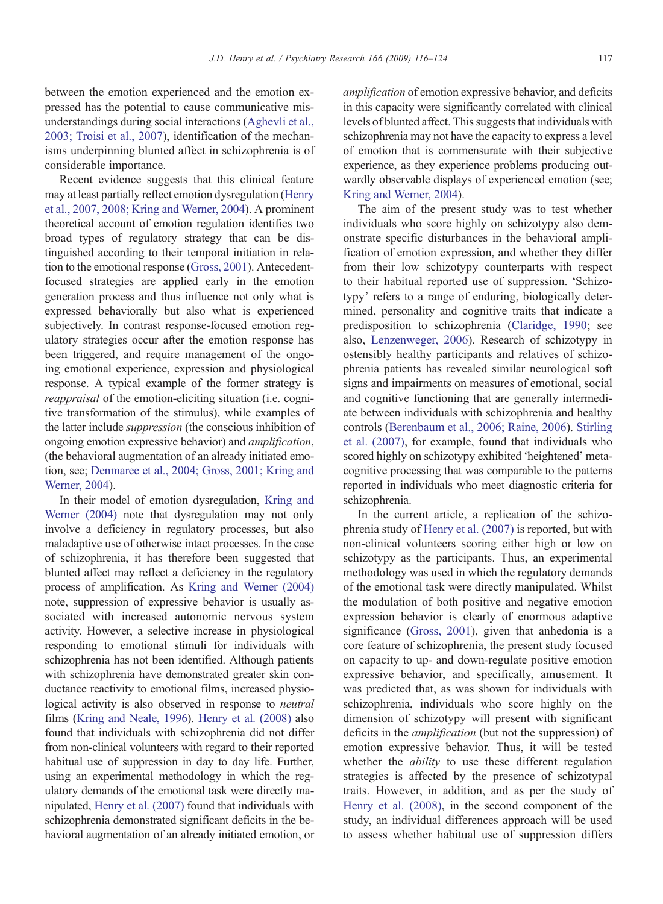between the emotion experienced and the emotion expressed has the potential to cause communicative misunderstandings during social interactions ([Aghevli et al.,](#page--1-0) [2003; Troisi et al., 2007\)](#page--1-0), identification of the mechanisms underpinning blunted affect in schizophrenia is of considerable importance.

Recent evidence suggests that this clinical feature may at least partially reflect emotion dysregulation ([Henry](#page--1-0) [et al., 2007, 2008; Kring and Werner, 2004](#page--1-0)). A prominent theoretical account of emotion regulation identifies two broad types of regulatory strategy that can be distinguished according to their temporal initiation in relation to the emotional response ([Gross, 2001](#page--1-0)). Antecedentfocused strategies are applied early in the emotion generation process and thus influence not only what is expressed behaviorally but also what is experienced subjectively. In contrast response-focused emotion regulatory strategies occur after the emotion response has been triggered, and require management of the ongoing emotional experience, expression and physiological response. A typical example of the former strategy is reappraisal of the emotion-eliciting situation (i.e. cognitive transformation of the stimulus), while examples of the latter include suppression (the conscious inhibition of ongoing emotion expressive behavior) and amplification, (the behavioral augmentation of an already initiated emotion, see; [Denmaree et al., 2004; Gross, 2001; Kring and](#page--1-0) [Werner, 2004](#page--1-0)).

In their model of emotion dysregulation, [Kring and](#page--1-0) [Werner \(2004\)](#page--1-0) note that dysregulation may not only involve a deficiency in regulatory processes, but also maladaptive use of otherwise intact processes. In the case of schizophrenia, it has therefore been suggested that blunted affect may reflect a deficiency in the regulatory process of amplification. As [Kring and Werner \(2004\)](#page--1-0) note, suppression of expressive behavior is usually associated with increased autonomic nervous system activity. However, a selective increase in physiological responding to emotional stimuli for individuals with schizophrenia has not been identified. Although patients with schizophrenia have demonstrated greater skin conductance reactivity to emotional films, increased physiological activity is also observed in response to neutral films [\(Kring and Neale, 1996\)](#page--1-0). [Henry et al. \(2008\)](#page--1-0) also found that individuals with schizophrenia did not differ from non-clinical volunteers with regard to their reported habitual use of suppression in day to day life. Further, using an experimental methodology in which the regulatory demands of the emotional task were directly manipulated, [Henry et al. \(2007\)](#page--1-0) found that individuals with schizophrenia demonstrated significant deficits in the behavioral augmentation of an already initiated emotion, or amplification of emotion expressive behavior, and deficits in this capacity were significantly correlated with clinical levels of blunted affect. This suggests that individuals with schizophrenia may not have the capacity to express a level of emotion that is commensurate with their subjective experience, as they experience problems producing outwardly observable displays of experienced emotion (see; [Kring and Werner, 2004](#page--1-0)).

The aim of the present study was to test whether individuals who score highly on schizotypy also demonstrate specific disturbances in the behavioral amplification of emotion expression, and whether they differ from their low schizotypy counterparts with respect to their habitual reported use of suppression. 'Schizotypy' refers to a range of enduring, biologically determined, personality and cognitive traits that indicate a predisposition to schizophrenia [\(Claridge, 1990](#page--1-0); see also, [Lenzenweger, 2006\)](#page--1-0). Research of schizotypy in ostensibly healthy participants and relatives of schizophrenia patients has revealed similar neurological soft signs and impairments on measures of emotional, social and cognitive functioning that are generally intermediate between individuals with schizophrenia and healthy controls ([Berenbaum et al., 2006; Raine, 2006](#page--1-0)). [Stirling](#page--1-0) [et al. \(2007\)](#page--1-0), for example, found that individuals who scored highly on schizotypy exhibited 'heightened' metacognitive processing that was comparable to the patterns reported in individuals who meet diagnostic criteria for schizophrenia.

In the current article, a replication of the schizophrenia study of [Henry et al. \(2007\)](#page--1-0) is reported, but with non-clinical volunteers scoring either high or low on schizotypy as the participants. Thus, an experimental methodology was used in which the regulatory demands of the emotional task were directly manipulated. Whilst the modulation of both positive and negative emotion expression behavior is clearly of enormous adaptive significance [\(Gross, 2001](#page--1-0)), given that anhedonia is a core feature of schizophrenia, the present study focused on capacity to up- and down-regulate positive emotion expressive behavior, and specifically, amusement. It was predicted that, as was shown for individuals with schizophrenia, individuals who score highly on the dimension of schizotypy will present with significant deficits in the amplification (but not the suppression) of emotion expressive behavior. Thus, it will be tested whether the *ability* to use these different regulation strategies is affected by the presence of schizotypal traits. However, in addition, and as per the study of [Henry et al. \(2008\),](#page--1-0) in the second component of the study, an individual differences approach will be used to assess whether habitual use of suppression differs